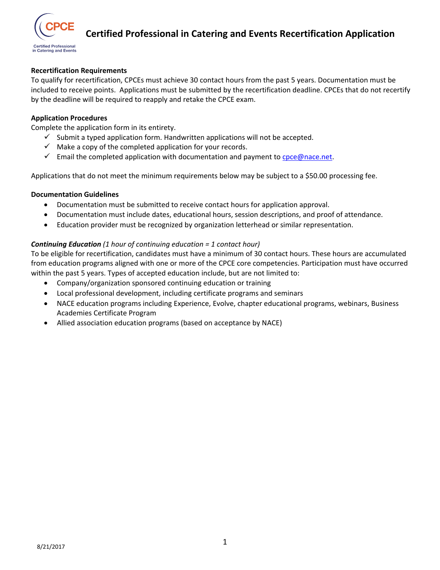

## **Recertification Requirements**

To qualify for recertification, CPCEs must achieve 30 contact hours from the past 5 years. Documentation must be included to receive points. Applications must be submitted by the recertification deadline. CPCEs that do not recertify by the deadline will be required to reapply and retake the CPCE exam.

## **Application Procedures**

Complete the application form in its entirety.

- $\checkmark$  Submit a typed application form. Handwritten applications will not be accepted.
- $\checkmark$  Make a copy of the completed application for your records.
- $\checkmark$  Email the completed application with documentation and payment to cpce@nace.net.

Applications that do not meet the minimum requirements below may be subject to a \$50.00 processing fee.

## **Documentation Guidelines**

- Documentation must be submitted to receive contact hours for application approval.
- Documentation must include dates, educational hours, session descriptions, and proof of attendance.
- Education provider must be recognized by organization letterhead or similar representation.

## *Continuing Education (1 hour of continuing education = 1 contact hour)*

To be eligible for recertification, candidates must have a minimum of 30 contact hours. These hours are accumulated from education programs aligned with one or more of the CPCE core competencies. Participation must have occurred within the past 5 years. Types of accepted education include, but are not limited to:

- Company/organization sponsored continuing education or training
- Local professional development, including certificate programs and seminars
- NACE education programs including Experience, Evolve, chapter educational programs, webinars, Business Academies Certificate Program
- Allied association education programs (based on acceptance by NACE)